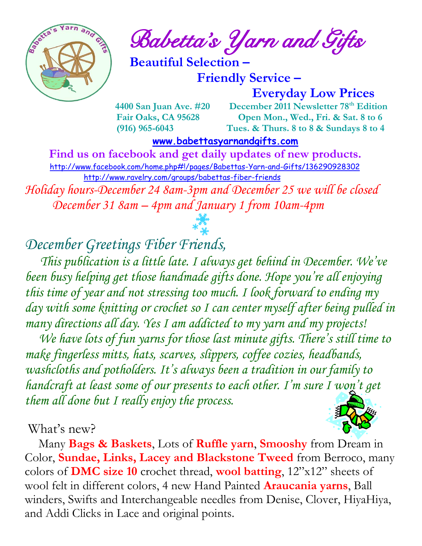

 $\int_{a}^{\infty}$  and  $\int_{a}^{\infty}$  and  $\int_{a}^{\infty}$  Babetta's Yarn and Gifts

 **Beautiful Selection –**

 **Friendly Service –**

 **Everyday Low Prices**

 **4400 San Juan Ave. #20 December 2011 Newsletter 78th Edition Fair Oaks, CA 95628 Open Mon., Wed., Fri. & Sat. 8 to 6 (916) 965-6043 Tues. & Thurs. 8 to 8 & Sundays 8 to 4** 

 **[www.babettasyarnandgifts.com](http://www.babettasyarnandgifts.com/)**

 **Find us on facebook and get daily updates of new products.**  <http://www.facebook.com/home.php#!/pages/Babettas-Yarn-and-Gifts/136290928302> <http://www.ravelry.com/groups/babettas-fiber-friends> *Holiday hours-December 24 8am-3pm and December 25 we will be closed*

 *December 31 8am – 4pm and January 1 from 10am-4pm*

*December Greetings Fiber Friends,*

 *This publication is a little late. I always get behind in December. We've been busy helping get those handmade gifts done. Hope you're all enjoying this time of year and not stressing too much. I look forward to ending my day with some knitting or crochet so I can center myself after being pulled in many directions all day. Yes I am addicted to my yarn and my projects!*

We have lots of fun yarns for those last minute gifts. There's still time to *make fingerless mitts, hats, scarves, slippers, coffee cozies, headbands, washcloths and potholders. It's always been a tradition in our family to handcraft at least some of our presents to each other. I'm sure I won't get them all done but I really enjoy the process.*

#### What's new?

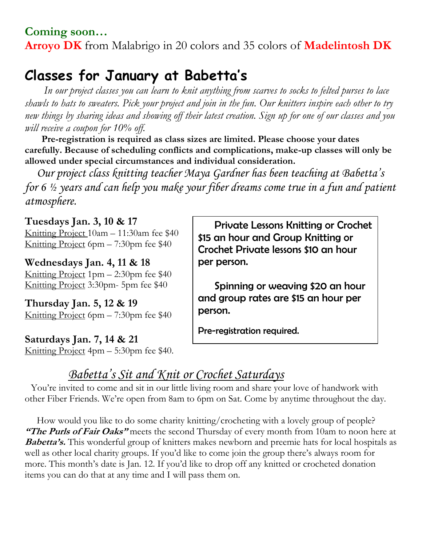#### **Coming soon… Arroyo DK** from Malabrigo in 20 colors and 35 colors of **Madelintosh DK**

## **Classes for January at Babetta's**

 *In our project classes you can learn to knit anything from scarves to socks to felted purses to lace shawls to hats to sweaters. Pick your project and join in the fun. Our knitters inspire each other to try new things by sharing ideas and showing off their latest creation. Sign up for one of our classes and you will receive a coupon for 10% off.*

 **Pre-registration is required as class sizes are limited. Please choose your dates carefully. Because of scheduling conflicts and complications, make-up classes will only be allowed under special circumstances and individual consideration.**

*Our project class knitting teacher Maya Gardner has been teaching at Babetta's for 6 ½ years and can help you make your fiber dreams come true in a fun and patient atmosphere.*

**Tuesdays Jan. 3, 10 & 17** Knitting Project 10am – 11:30am fee \$40 Knitting Project 6pm – 7:30pm fee \$40

**Wednesdays Jan. 4, 11 & 18** Knitting Project 1pm – 2:30pm fee \$40 Knitting Project 3:30pm- 5pm fee \$40

**Thursday Jan. 5, 12 & 19** Knitting Project 6pm – 7:30pm fee \$40

**Saturdays Jan. 7, 14 & 21** Knitting Project 4pm – 5:30pm fee \$40.

 Private Lessons Knitting or Crochet \$15 an hour and Group Knitting or Crochet Private lessons \$10 an hour per person.

 Spinning or weaving \$20 an hour and group rates are \$15 an hour per person.

Pre-registration required.

## *Babetta's Sit and Knit or Crochet Saturdays*

You're invited to come and sit in our little living room and share your love of handwork with other Fiber Friends. We're open from 8am to 6pm on Sat. Come by anytime throughout the day.

 How would you like to do some charity knitting/crocheting with a lovely group of people? **"The Purls of Fair Oaks"** meets the second Thursday of every month from 10am to noon here at **Babetta's.** This wonderful group of knitters makes newborn and preemie hats for local hospitals as well as other local charity groups. If you'd like to come join the group there's always room for more. This month's date is Jan. 12. If you'd like to drop off any knitted or crocheted donation items you can do that at any time and I will pass them on.